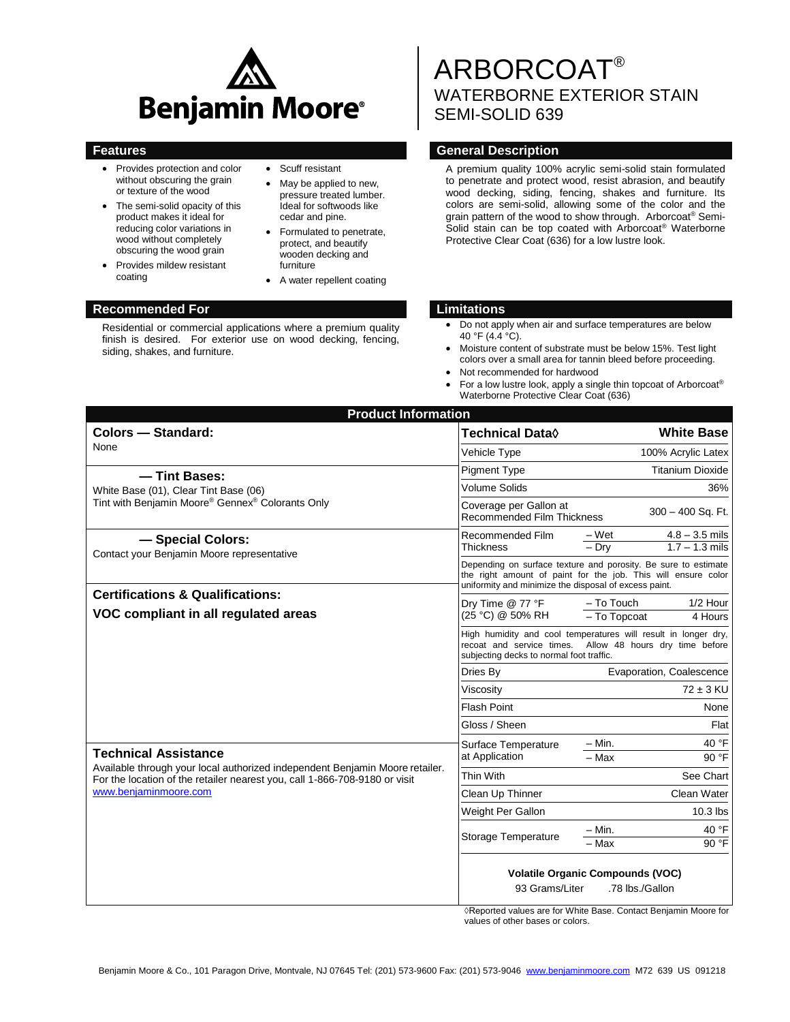

- Provides protection and color without obscuring the grain or texture of the wood
- The semi-solid opacity of this product makes it ideal for reducing color variations in wood without completely obscuring the wood grain
- Provides mildew resistant coating
- Scuff resistant
- May be applied to new, pressure treated lumber. Ideal for softwoods like cedar and pine.
- Formulated to penetrate, protect, and beautify wooden decking and furniture
- A water repellent coating

#### **Recommended For Limitations**

Residential or commercial applications where a premium quality finish is desired. For exterior use on wood decking, fencing, siding, shakes, and furniture.

# ARBORCOAT® WATERBORNE EXTERIOR STAIN SEMI-SOLID 639

#### **Features General Description**

A premium quality 100% acrylic semi-solid stain formulated to penetrate and protect wood, resist abrasion, and beautify wood decking, siding, fencing, shakes and furniture. Its colors are semi-solid, allowing some of the color and the grain pattern of the wood to show through. Arborcoat® Semi-Solid stain can be top coated with Arborcoat® Waterborne Protective Clear Coat (636) for a low lustre look.

- Do not apply when air and surface temperatures are below 40 °F (4.4 °C).
- Moisture content of substrate must be below 15%. Test light colors over a small area for tannin bleed before proceeding.
- Not recommended for hardwood
- For a low lustre look, apply a single thin topcoat of Arborcoat® Waterborne Protective Clear Coat (636)

| <b>Product Information</b>                                                                                                                                                                                         |                                                                                                                                                                                          |                                                          |  |
|--------------------------------------------------------------------------------------------------------------------------------------------------------------------------------------------------------------------|------------------------------------------------------------------------------------------------------------------------------------------------------------------------------------------|----------------------------------------------------------|--|
| <b>Colors - Standard:</b>                                                                                                                                                                                          | Technical Data $\lozenge$                                                                                                                                                                | <b>White Base</b>                                        |  |
| None                                                                                                                                                                                                               | Vehicle Type                                                                                                                                                                             | 100% Acrylic Latex                                       |  |
| - Tint Bases:                                                                                                                                                                                                      | <b>Pigment Type</b>                                                                                                                                                                      | <b>Titanium Dioxide</b>                                  |  |
| White Base (01), Clear Tint Base (06)                                                                                                                                                                              | <b>Volume Solids</b>                                                                                                                                                                     | 36%                                                      |  |
| Tint with Benjamin Moore® Gennex® Colorants Only                                                                                                                                                                   | Coverage per Gallon at<br><b>Recommended Film Thickness</b>                                                                                                                              | 300 - 400 Sq. Ft.                                        |  |
| - Special Colors:<br>Contact your Benjamin Moore representative<br><b>Certifications &amp; Qualifications:</b><br>VOC compliant in all regulated areas                                                             | Recommended Film<br>Thickness                                                                                                                                                            | $4.8 - 3.5$ mils<br>– Wet<br>$-$ Drv<br>$1.7 - 1.3$ mils |  |
|                                                                                                                                                                                                                    | Depending on surface texture and porosity. Be sure to estimate<br>the right amount of paint for the job. This will ensure color<br>uniformity and minimize the disposal of excess paint. |                                                          |  |
|                                                                                                                                                                                                                    | Dry Time @ 77 °F<br>(25 °C) @ 50% RH                                                                                                                                                     | - To Touch<br>1/2 Hour<br>- To Topcoat<br>4 Hours        |  |
|                                                                                                                                                                                                                    | High humidity and cool temperatures will result in longer dry,<br>recoat and service times. Allow 48 hours dry time before<br>subjecting decks to normal foot traffic.                   |                                                          |  |
|                                                                                                                                                                                                                    | Dries By                                                                                                                                                                                 | Evaporation, Coalescence                                 |  |
|                                                                                                                                                                                                                    | Viscosity                                                                                                                                                                                | $72 \pm 3$ KU                                            |  |
|                                                                                                                                                                                                                    | <b>Flash Point</b>                                                                                                                                                                       | None                                                     |  |
|                                                                                                                                                                                                                    | Gloss / Sheen                                                                                                                                                                            | Flat                                                     |  |
| <b>Technical Assistance</b><br>Available through your local authorized independent Benjamin Moore retailer.<br>For the location of the retailer nearest you, call 1-866-708-9180 or visit<br>www.benjaminmoore.com | Surface Temperature<br>at Application                                                                                                                                                    | 40 °F<br>$- Min.$                                        |  |
|                                                                                                                                                                                                                    |                                                                                                                                                                                          | 90 °F<br>- Max                                           |  |
|                                                                                                                                                                                                                    | Thin With                                                                                                                                                                                | See Chart                                                |  |
|                                                                                                                                                                                                                    | Clean Up Thinner                                                                                                                                                                         | Clean Water                                              |  |
|                                                                                                                                                                                                                    | Weight Per Gallon                                                                                                                                                                        | $10.3$ lbs                                               |  |
|                                                                                                                                                                                                                    | Storage Temperature                                                                                                                                                                      | 40 °F<br>$- Min.$<br>90 °F<br>$-$ Max                    |  |
|                                                                                                                                                                                                                    | <b>Volatile Organic Compounds (VOC)</b><br>93 Grams/Liter<br>.78 lbs./Gallon                                                                                                             |                                                          |  |

◊Reported values are for White Base. Contact Benjamin Moore for values of other bases or colors.